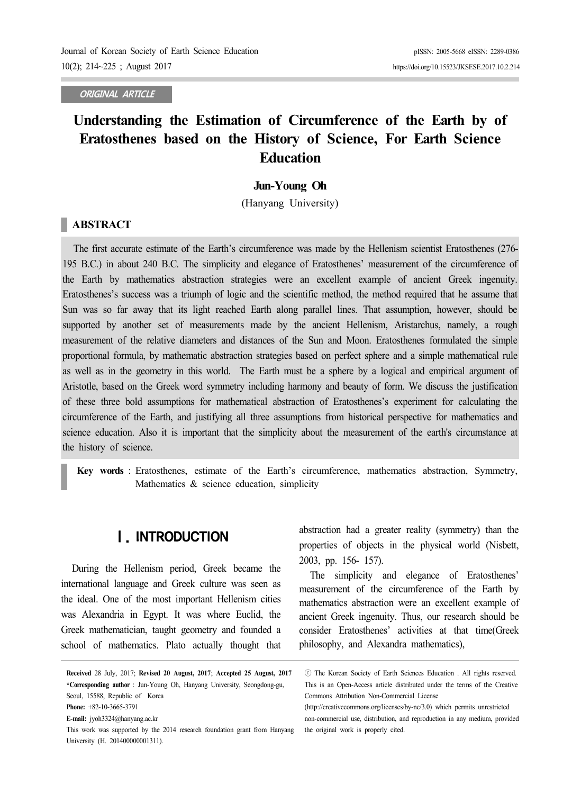**ORIGINAL ARTICLE**

# **Understanding the Estimation of Circumference of the Earth by of Eratosthenes based on the History of Science, For Earth Science Education**

### **Jun-Young Oh**

(Hanyang University)

## **ABSTRACT**

The first accurate estimate of the Earth's circumference was made by the Hellenism scientist Eratosthenes (276- 195 B.C.) in about 240 B.C. The simplicity and elegance of Eratosthenes' measurement of the circumference of the Earth by mathematics abstraction strategies were an excellent example of ancient Greek ingenuity. Eratosthenes's success was a triumph of logic and the scientific method, the method required that he assume that Sun was so far away that its light reached Earth along parallel lines. That assumption, however, should be supported by another set of measurements made by the ancient Hellenism, Aristarchus, namely, a rough measurement of the relative diameters and distances of the Sun and Moon. Eratosthenes formulated the simple proportional formula, by mathematic abstraction strategies based on perfect sphere and a simple mathematical rule as well as in the geometry in this world. The Earth must be a sphere by a logical and empirical argument of Aristotle, based on the Greek word symmetry including harmony and beauty of form. We discuss the justification of these three bold assumptions for mathematical abstraction of Eratosthenes's experiment for calculating the circumference of the Earth, and justifying all three assumptions from historical perspective for mathematics and science education. Also it is important that the simplicity about the measurement of the earth's circumstance at the history of science.

**Key words** : Eratosthenes, estimate of the Earth's circumference, mathematics abstraction, Symmetry, Mathematics & science education, simplicity

## Ⅰ. INTRODUCTION

During the Hellenism period, Greek became the international language and Greek culture was seen as the ideal. One of the most important Hellenism cities was Alexandria in Egypt. It was where Euclid, the Greek mathematician, taught geometry and founded a school of mathematics. Plato actually thought that abstraction had a greater reality (symmetry) than the properties of objects in the physical world (Nisbett, 2003, pp. 156- 157).

The simplicity and elegance of Eratosthenes' measurement of the circumference of the Earth by mathematics abstraction were an excellent example of ancient Greek ingenuity. Thus, our research should be consider Eratosthenes' activities at that time(Greek philosophy, and Alexandra mathematics),

**Received** 28 July, 2017; **Revised 20 August, 2017**; **Accepted 25 August, 2017 \*Corresponding author** : Jun-Young Oh, Hanyang University, Seongdong-gu, Seoul, 15588, Republic of Korea

**Phone:** +82-10-3665-3791

**E-mail:** jyoh3324@hanyang.ac.kr

This work was supported by the 2014 research foundation grant from Hanyang University (H. 201400000001311).

<sup>ⓒ</sup> The Korean Society of Earth Sciences Education . All rights reserved. This is an Open-Access article distributed under the terms of the Creative Commons Attribution Non-Commercial License

<sup>(</sup>http://creativecommons.org/licenses/by-nc/3.0) which permits unrestricted non-commercial use, distribution, and reproduction in any medium, provided the original work is properly cited.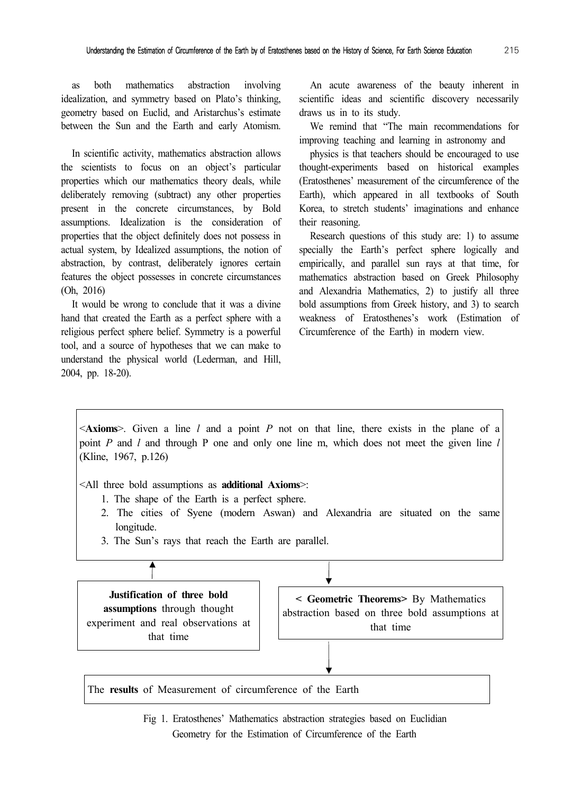as both mathematics abstraction involving idealization, and symmetry based on Plato's thinking, geometry based on Euclid, and Aristarchus's estimate between the Sun and the Earth and early Atomism.

In scientific activity, mathematics abstraction allows the scientists to focus on an object's particular properties which our mathematics theory deals, while deliberately removing (subtract) any other properties present in the concrete circumstances, by Bold assumptions. Idealization is the consideration of properties that the object definitely does not possess in actual system, by Idealized assumptions, the notion of abstraction, by contrast, deliberately ignores certain features the object possesses in concrete circumstances (Oh, 2016)

It would be wrong to conclude that it was a divine hand that created the Earth as a perfect sphere with a religious perfect sphere belief. Symmetry is a powerful tool, and a source of hypotheses that we can make to understand the physical world (Lederman, and Hill, 2004, pp. 18-20).

An acute awareness of the beauty inherent in scientific ideas and scientific discovery necessarily draws us in to its study.

We remind that "The main recommendations for improving teaching and learning in astronomy and

physics is that teachers should be encouraged to use thought-experiments based on historical examples (Eratosthenes' measurement of the circumference of the Earth), which appeared in all textbooks of South Korea, to stretch students' imaginations and enhance their reasoning.

Research questions of this study are: 1) to assume specially the Earth's perfect sphere logically and empirically, and parallel sun rays at that time, for mathematics abstraction based on Greek Philosophy and Alexandria Mathematics, 2) to justify all three bold assumptions from Greek history, and 3) to search weakness of Eratosthenes's work (Estimation of Circumference of the Earth) in modern view.

<**Axioms**>. Given a line *l* and a point *P* not on that line, there exists in the plane of a point *P* and *l* and through P one and only one line m, which does not meet the given line *l* (Kline, 1967, p.126)

<All three bold assumptions as **additional Axioms**>:

- 1. The shape of the Earth is a perfect sphere.
- 2. The cities of Syene (modern Aswan) and Alexandria are situated on the same longitude.
- 3. The Sun's rays that reach the Earth are parallel.



The **results** of Measurement of circumference of the Earth

Fig 1. Eratosthenes' Mathematics abstraction strategies based on Euclidian Geometry for the Estimation of Circumference of the Earth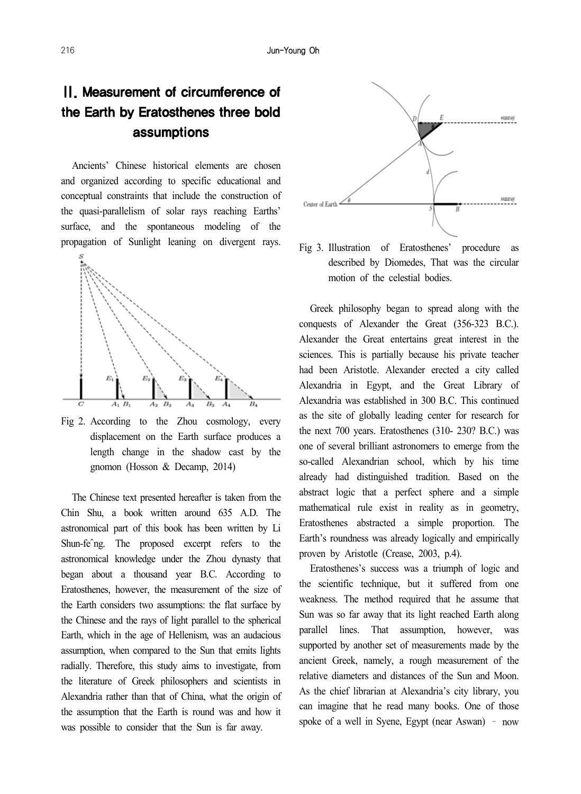# Ⅱ. Measurement of circumference of the Earth by Eratosthenes three bold assumptions

Ancients' Chinese historical elements are chosen and organized according to specific educational and conceptual constraints that include the construction of the quasi-parallelism of solar rays reaching Earths' surface, and the spontaneous modeling of the propagation of Sunlight leaning on divergent rays.



Fig 2. According to the Zhou cosmology, every displacement on the Earth surface produces a length change in the shadow cast by the gnomon (Hosson & Decamp, 2014)

The Chinese text presented hereafter is taken from the Chin Shu, a book written around 635 A.D. The astronomical part of this book has been written by Li Shun-feˆng. The proposed excerpt refers to the astronomical knowledge under the Zhou dynasty that began about a thousand year B.C. According to Eratosthenes, however, the measurement of the size of the Earth considers two assumptions: the flat surface by the Chinese and the rays of light parallel to the spherical Earth, which in the age of Hellenism, was an audacious assumption, when compared to the Sun that emits lights radially. Therefore, this study aims to investigate, from the literature of Greek philosophers and scientists in Alexandria rather than that of China, what the origin of the assumption that the Earth is round was and how it was possible to consider that the Sun is far away.



Fig 3. Illustration of Eratosthenes' procedure as described by Diomedes, That was the circular motion of the celestial bodies.

Greek philosophy began to spread along with the conquests of Alexander the Great (356-323 B.C.). Alexander the Great entertains great interest in the sciences. This is partially because his private teacher had been Aristotle. Alexander erected a city called Alexandria in Egypt, and the Great Library of Alexandria was established in 300 B.C. This continued as the site of globally leading center for research for the next 700 years. Eratosthenes (310- 230? B.C.) was one of several brilliant astronomers to emerge from the so-called Alexandrian school, which by his time already had distinguished tradition. Based on the abstract logic that a perfect sphere and a simple mathematical rule exist in reality as in geometry, Eratosthenes abstracted a simple proportion. The Earth's roundness was already logically and empirically proven by Aristotle (Crease, 2003, p.4).

Eratosthenes's success was a triumph of logic and the scientific technique, but it suffered from one weakness. The method required that he assume that Sun was so far away that its light reached Earth along parallel lines. That assumption, however, was supported by another set of measurements made by the ancient Greek, namely, a rough measurement of the relative diameters and distances of the Sun and Moon. As the chief librarian at Alexandria's city library, you can imagine that he read many books. One of those spoke of a well in Syene, Egypt (near Aswan) – now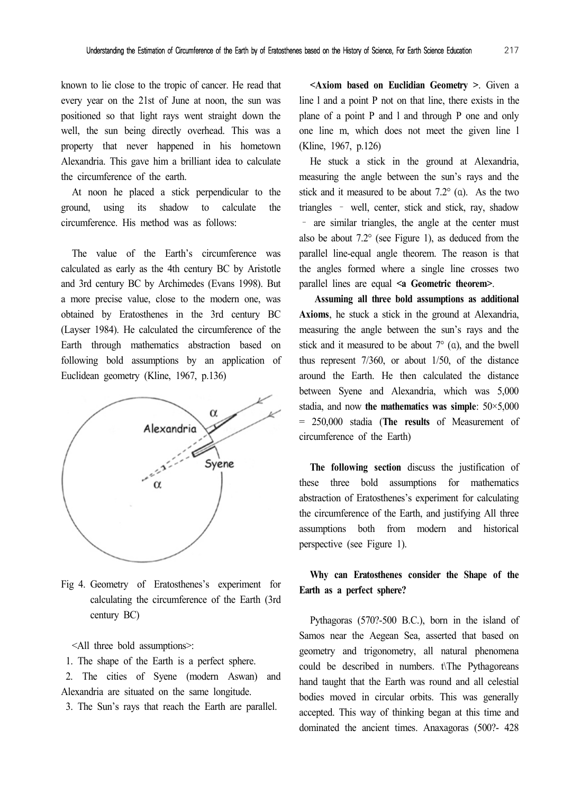known to lie close to the tropic of cancer. He read that every year on the 21st of June at noon, the sun was positioned so that light rays went straight down the well, the sun being directly overhead. This was a property that never happened in his hometown Alexandria. This gave him a brilliant idea to calculate the circumference of the earth.

At noon he placed a stick perpendicular to the ground, using its shadow to calculate the circumference. His method was as follows:

The value of the Earth's circumference was calculated as early as the 4th century BC by Aristotle and 3rd century BC by Archimedes (Evans 1998). But a more precise value, close to the modern one, was obtained by Eratosthenes in the 3rd century BC (Layser 1984). He calculated the circumference of the Earth through mathematics abstraction based on following bold assumptions by an application of Euclidean geometry (Kline, 1967, p.136)



Fig 4. Geometry of Eratosthenes's experiment for calculating the circumference of the Earth (3rd century BC)

<All three bold assumptions>:

1. The shape of the Earth is a perfect sphere.

 2. The cities of Syene (modern Aswan) and Alexandria are situated on the same longitude.

3. The Sun's rays that reach the Earth are parallel.

**<Axiom based on Euclidian Geometry >**. Given a line l and a point P not on that line, there exists in the plane of a point P and l and through P one and only one line m, which does not meet the given line l (Kline, 1967, p.126)

He stuck a stick in the ground at Alexandria, measuring the angle between the sun's rays and the stick and it measured to be about  $7.2^{\circ}$  (a). As the two triangles – well, center, stick and stick, ray, shadow – are similar triangles, the angle at the center must also be about 7.2° (see Figure 1), as deduced from the parallel line-equal angle theorem. The reason is that the angles formed where a single line crosses two parallel lines are equal **<a Geometric theorem>**.

**Assuming all three bold assumptions as additional Axioms**, he stuck a stick in the ground at Alexandria, measuring the angle between the sun's rays and the stick and it measured to be about  $7^{\circ}$  (a), and the bwell thus represent 7/360, or about 1/50, of the distance around the Earth. He then calculated the distance between Syene and Alexandria, which was 5,000 stadia, and now **the mathematics was simple**: 50×5,000 = 250,000 stadia (**The results** of Measurement of circumference of the Earth)

**The following section** discuss the justification of these three bold assumptions for mathematics abstraction of Eratosthenes's experiment for calculating the circumference of the Earth, and justifying All three assumptions both from modern and historical perspective (see Figure 1).

## **Why can Eratosthenes consider the Shape of the Earth as a perfect sphere?**

Pythagoras (570?-500 B.C.), born in the island of Samos near the Aegean Sea, asserted that based on geometry and trigonometry, all natural phenomena could be described in numbers. t\The Pythagoreans hand taught that the Earth was round and all celestial bodies moved in circular orbits. This was generally accepted. This way of thinking began at this time and dominated the ancient times. Anaxagoras (500?- 428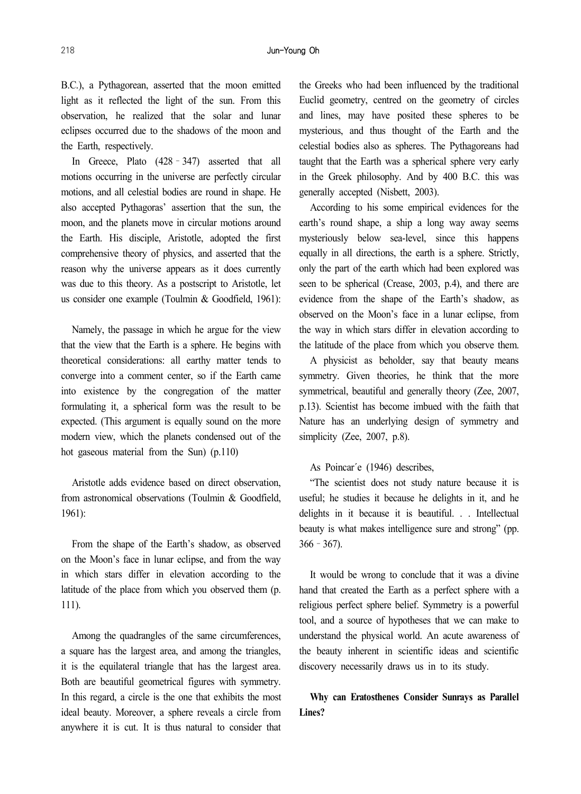B.C.), a Pythagorean, asserted that the moon emitted light as it reflected the light of the sun. From this observation, he realized that the solar and lunar eclipses occurred due to the shadows of the moon and the Earth, respectively.

In Greece, Plato (428–347) asserted that all motions occurring in the universe are perfectly circular motions, and all celestial bodies are round in shape. He also accepted Pythagoras' assertion that the sun, the moon, and the planets move in circular motions around the Earth. His disciple, Aristotle, adopted the first comprehensive theory of physics, and asserted that the reason why the universe appears as it does currently was due to this theory. As a postscript to Aristotle, let us consider one example (Toulmin & Goodfield, 1961):

Namely, the passage in which he argue for the view that the view that the Earth is a sphere. He begins with theoretical considerations: all earthy matter tends to converge into a comment center, so if the Earth came into existence by the congregation of the matter formulating it, a spherical form was the result to be expected. (This argument is equally sound on the more modern view, which the planets condensed out of the hot gaseous material from the Sun) (p.110)

Aristotle adds evidence based on direct observation, from astronomical observations (Toulmin & Goodfield, 1961):

From the shape of the Earth's shadow, as observed on the Moon's face in lunar eclipse, and from the way in which stars differ in elevation according to the latitude of the place from which you observed them (p. 111).

Among the quadrangles of the same circumferences, a square has the largest area, and among the triangles, it is the equilateral triangle that has the largest area. Both are beautiful geometrical figures with symmetry. In this regard, a circle is the one that exhibits the most ideal beauty. Moreover, a sphere reveals a circle from anywhere it is cut. It is thus natural to consider that

the Greeks who had been influenced by the traditional Euclid geometry, centred on the geometry of circles and lines, may have posited these spheres to be mysterious, and thus thought of the Earth and the celestial bodies also as spheres. The Pythagoreans had taught that the Earth was a spherical sphere very early in the Greek philosophy. And by 400 B.C. this was generally accepted (Nisbett, 2003).

According to his some empirical evidences for the earth's round shape, a ship a long way away seems mysteriously below sea-level, since this happens equally in all directions, the earth is a sphere. Strictly, only the part of the earth which had been explored was seen to be spherical (Crease, 2003, p.4), and there are evidence from the shape of the Earth's shadow, as observed on the Moon's face in a lunar eclipse, from the way in which stars differ in elevation according to the latitude of the place from which you observe them.

A physicist as beholder, say that beauty means symmetry. Given theories, he think that the more symmetrical, beautiful and generally theory (Zee, 2007, p.13). Scientist has become imbued with the faith that Nature has an underlying design of symmetry and simplicity (Zee, 2007, p.8).

#### As Poincar´e (1946) describes,

"The scientist does not study nature because it is useful; he studies it because he delights in it, and he delights in it because it is beautiful. . . Intellectual beauty is what makes intelligence sure and strong" (pp.  $366 - 367$ ).

It would be wrong to conclude that it was a divine hand that created the Earth as a perfect sphere with a religious perfect sphere belief. Symmetry is a powerful tool, and a source of hypotheses that we can make to understand the physical world. An acute awareness of the beauty inherent in scientific ideas and scientific discovery necessarily draws us in to its study.

## **Why can Eratosthenes Consider Sunrays as Parallel Lines?**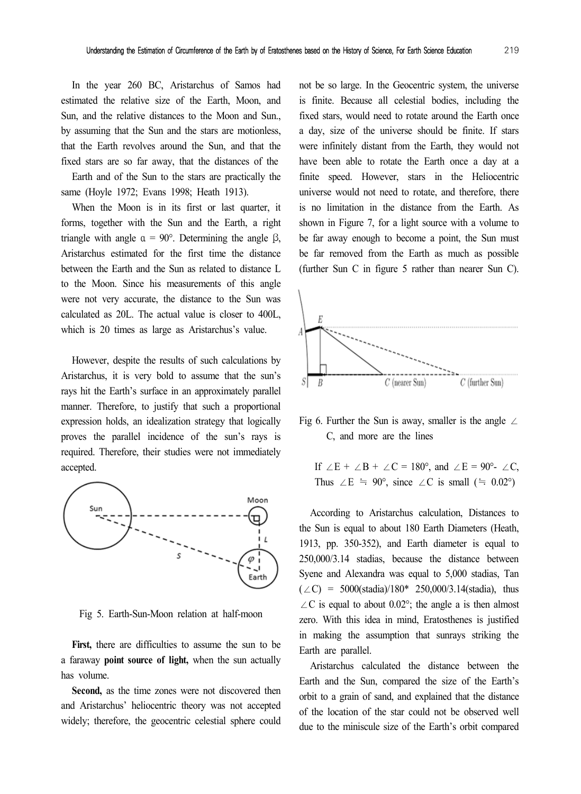In the year 260 BC, Aristarchus of Samos had estimated the relative size of the Earth, Moon, and Sun, and the relative distances to the Moon and Sun., by assuming that the Sun and the stars are motionless, that the Earth revolves around the Sun, and that the fixed stars are so far away, that the distances of the

Earth and of the Sun to the stars are practically the same (Hoyle 1972; Evans 1998; Heath 1913).

When the Moon is in its first or last quarter, it forms, together with the Sun and the Earth, a right triangle with angle  $α = 90°$ . Determining the angle β, Aristarchus estimated for the first time the distance between the Earth and the Sun as related to distance L to the Moon. Since his measurements of this angle were not very accurate, the distance to the Sun was calculated as 20L. The actual value is closer to 400L, which is 20 times as large as Aristarchus's value.

However, despite the results of such calculations by Aristarchus, it is very bold to assume that the sun's rays hit the Earth's surface in an approximately parallel manner. Therefore, to justify that such a proportional expression holds, an idealization strategy that logically proves the parallel incidence of the sun's rays is required. Therefore, their studies were not immediately accepted.



Fig 5. Earth-Sun-Moon relation at half-moon

First, there are difficulties to assume the sun to be a faraway **point source of light,** when the sun actually has volume.

**Second,** as the time zones were not discovered then and Aristarchus' heliocentric theory was not accepted widely; therefore, the geocentric celestial sphere could

not be so large. In the Geocentric system, the universe is finite. Because all celestial bodies, including the fixed stars, would need to rotate around the Earth once a day, size of the universe should be finite. If stars were infinitely distant from the Earth, they would not have been able to rotate the Earth once a day at a finite speed. However, stars in the Heliocentric universe would not need to rotate, and therefore, there is no limitation in the distance from the Earth. As shown in Figure 7, for a light source with a volume to be far away enough to become a point, the Sun must be far removed from the Earth as much as possible (further Sun C in figure 5 rather than nearer Sun C).



Fig 6. Further the Sun is away, smaller is the angle  $\angle$ C, and more are the lines

If ∠E + ∠B + ∠C = 180°, and ∠E = 90°- ∠C, Thus ∠E ≒ 90°, since ∠C is small (≒ 0.02°)

According to Aristarchus calculation, Distances to the Sun is equal to about 180 Earth Diameters (Heath, 1913, pp. 350-352), and Earth diameter is equal to 250,000/3.14 stadias, because the distance between Syene and Alexandra was equal to 5,000 stadias, Tan  $(\angle C)$  = 5000(stadia)/180\* 250,000/3.14(stadia), thus  $\angle C$  is equal to about 0.02°; the angle a is then almost zero. With this idea in mind, Eratosthenes is justified in making the assumption that sunrays striking the Earth are parallel.

Aristarchus calculated the distance between the Earth and the Sun, compared the size of the Earth's orbit to a grain of sand, and explained that the distance of the location of the star could not be observed well due to the miniscule size of the Earth's orbit compared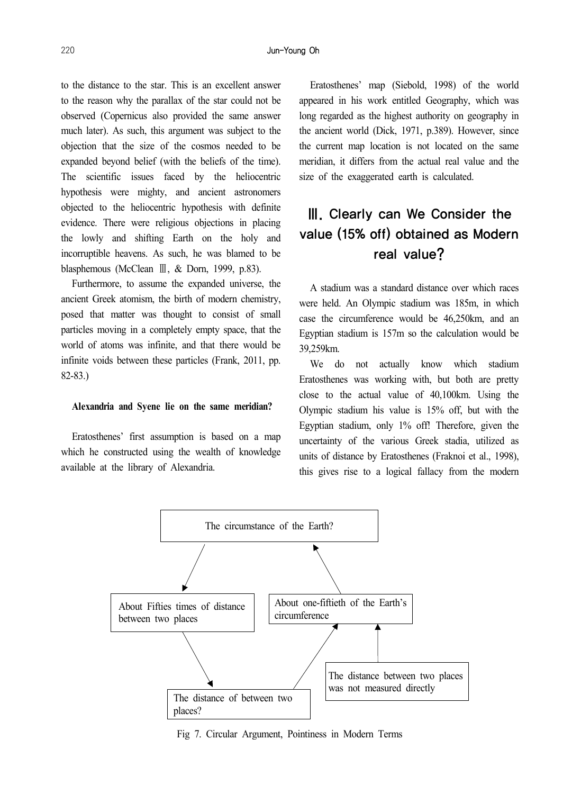to the distance to the star. This is an excellent answer to the reason why the parallax of the star could not be observed (Copernicus also provided the same answer much later). As such, this argument was subject to the objection that the size of the cosmos needed to be expanded beyond belief (with the beliefs of the time). The scientific issues faced by the heliocentric hypothesis were mighty, and ancient astronomers objected to the heliocentric hypothesis with definite evidence. There were religious objections in placing the lowly and shifting Earth on the holy and incorruptible heavens. As such, he was blamed to be blasphemous (McClean Ⅲ, & Dorn, 1999, p.83).

Furthermore, to assume the expanded universe, the ancient Greek atomism, the birth of modern chemistry, posed that matter was thought to consist of small particles moving in a completely empty space, that the world of atoms was infinite, and that there would be infinite voids between these particles (Frank, 2011, pp. 82-83.)

#### **Alexandria and Syene lie on the same meridian?**

Eratosthenes' first assumption is based on a map which he constructed using the wealth of knowledge available at the library of Alexandria.

Eratosthenes' map (Siebold, 1998) of the world appeared in his work entitled Geography, which was long regarded as the highest authority on geography in the ancient world (Dick, 1971, p.389). However, since the current map location is not located on the same meridian, it differs from the actual real value and the size of the exaggerated earth is calculated.

# Ⅲ. Clearly can We Consider the value (15% off) obtained as Modern real value?

A stadium was a standard distance over which races were held. An Olympic stadium was 185m, in which case the circumference would be 46,250km, and an Egyptian stadium is 157m so the calculation would be 39,259km.

We do not actually know which stadium Eratosthenes was working with, but both are pretty close to the actual value of 40,100km. Using the Olympic stadium his value is 15% off, but with the Egyptian stadium, only 1% off! Therefore, given the uncertainty of the various Greek stadia, utilized as units of distance by Eratosthenes (Fraknoi et al., 1998), this gives rise to a logical fallacy from the modern



Fig 7. Circular Argument, Pointiness in Modern Terms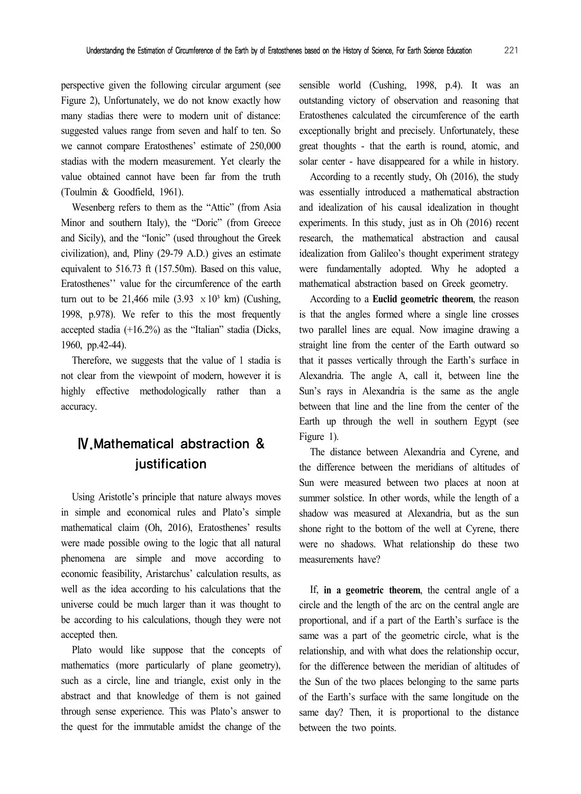perspective given the following circular argument (see Figure 2), Unfortunately, we do not know exactly how many stadias there were to modern unit of distance: suggested values range from seven and half to ten. So we cannot compare Eratosthenes' estimate of 250,000 stadias with the modern measurement. Yet clearly the value obtained cannot have been far from the truth (Toulmin & Goodfield, 1961).

Wesenberg refers to them as the "Attic" (from Asia Minor and southern Italy), the "Doric" (from Greece and Sicily), and the "Ionic" (used throughout the Greek civilization), and, Pliny (29-79 A.D.) gives an estimate equivalent to 516.73 ft (157.50m). Based on this value, Eratosthenes'' value for the circumference of the earth turn out to be 21,466 mile  $(3.93 \times 10^3 \text{ km})$  (Cushing, 1998, p.978). We refer to this the most frequently accepted stadia (+16.2%) as the "Italian" stadia (Dicks, 1960, pp.42-44).

Therefore, we suggests that the value of 1 stadia is not clear from the viewpoint of modern, however it is highly effective methodologically rather than a accuracy.

## Ⅳ.Mathematical abstraction & **justification**

Using Aristotle's principle that nature always moves in simple and economical rules and Plato's simple mathematical claim (Oh, 2016), Eratosthenes' results were made possible owing to the logic that all natural phenomena are simple and move according to economic feasibility, Aristarchus' calculation results, as well as the idea according to his calculations that the universe could be much larger than it was thought to be according to his calculations, though they were not accepted then.

Plato would like suppose that the concepts of mathematics (more particularly of plane geometry), such as a circle, line and triangle, exist only in the abstract and that knowledge of them is not gained through sense experience. This was Plato's answer to the quest for the immutable amidst the change of the sensible world (Cushing, 1998, p.4). It was an outstanding victory of observation and reasoning that Eratosthenes calculated the circumference of the earth exceptionally bright and precisely. Unfortunately, these great thoughts - that the earth is round, atomic, and solar center - have disappeared for a while in history.

According to a recently study, Oh (2016), the study was essentially introduced a mathematical abstraction and idealization of his causal idealization in thought experiments. In this study, just as in Oh (2016) recent research, the mathematical abstraction and causal idealization from Galileo's thought experiment strategy were fundamentally adopted. Why he adopted a mathematical abstraction based on Greek geometry.

According to a **Euclid geometric theorem**, the reason is that the angles formed where a single line crosses two parallel lines are equal. Now imagine drawing a straight line from the center of the Earth outward so that it passes vertically through the Earth's surface in Alexandria. The angle A, call it, between line the Sun's rays in Alexandria is the same as the angle between that line and the line from the center of the Earth up through the well in southern Egypt (see Figure 1).

The distance between Alexandria and Cyrene, and the difference between the meridians of altitudes of Sun were measured between two places at noon at summer solstice. In other words, while the length of a shadow was measured at Alexandria, but as the sun shone right to the bottom of the well at Cyrene, there were no shadows. What relationship do these two measurements have?

If, **in a geometric theorem**, the central angle of a circle and the length of the arc on the central angle are proportional, and if a part of the Earth's surface is the same was a part of the geometric circle, what is the relationship, and with what does the relationship occur, for the difference between the meridian of altitudes of the Sun of the two places belonging to the same parts of the Earth's surface with the same longitude on the same day? Then, it is proportional to the distance between the two points.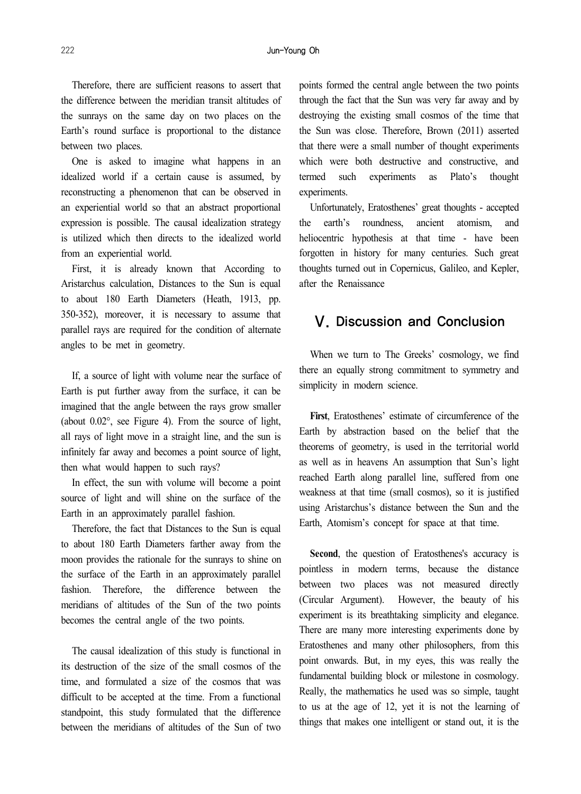#### 222 Jun-Young Oh

Therefore, there are sufficient reasons to assert that the difference between the meridian transit altitudes of the sunrays on the same day on two places on the Earth's round surface is proportional to the distance between two places.

One is asked to imagine what happens in an idealized world if a certain cause is assumed, by reconstructing a phenomenon that can be observed in an experiential world so that an abstract proportional expression is possible. The causal idealization strategy is utilized which then directs to the idealized world from an experiential world.

First, it is already known that According to Aristarchus calculation, Distances to the Sun is equal to about 180 Earth Diameters (Heath, 1913, pp. 350-352), moreover, it is necessary to assume that parallel rays are required for the condition of alternate angles to be met in geometry.

If, a source of light with volume near the surface of Earth is put further away from the surface, it can be imagined that the angle between the rays grow smaller (about 0.02°, see Figure 4). From the source of light, all rays of light move in a straight line, and the sun is infinitely far away and becomes a point source of light, then what would happen to such rays?

In effect, the sun with volume will become a point source of light and will shine on the surface of the Earth in an approximately parallel fashion.

Therefore, the fact that Distances to the Sun is equal to about 180 Earth Diameters farther away from the moon provides the rationale for the sunrays to shine on the surface of the Earth in an approximately parallel fashion. Therefore, the difference between the meridians of altitudes of the Sun of the two points becomes the central angle of the two points.

The causal idealization of this study is functional in its destruction of the size of the small cosmos of the time, and formulated a size of the cosmos that was difficult to be accepted at the time. From a functional standpoint, this study formulated that the difference between the meridians of altitudes of the Sun of two

points formed the central angle between the two points through the fact that the Sun was very far away and by destroying the existing small cosmos of the time that the Sun was close. Therefore, Brown (2011) asserted that there were a small number of thought experiments which were both destructive and constructive, and termed such experiments as Plato's thought experiments.

Unfortunately, Eratosthenes' great thoughts - accepted the earth's roundness, ancient atomism, and heliocentric hypothesis at that time - have been forgotten in history for many centuries. Such great thoughts turned out in Copernicus, Galileo, and Kepler, after the Renaissance

## Ⅴ. Discussion and Conclusion

When we turn to The Greeks' cosmology, we find there an equally strong commitment to symmetry and simplicity in modern science.

**First**, Eratosthenes' estimate of circumference of the Earth by abstraction based on the belief that the theorems of geometry, is used in the territorial world as well as in heavens An assumption that Sun's light reached Earth along parallel line, suffered from one weakness at that time (small cosmos), so it is justified using Aristarchus's distance between the Sun and the Earth, Atomism's concept for space at that time.

Second, the question of Eratosthenes's accuracy is pointless in modern terms, because the distance between two places was not measured directly (Circular Argument). However, the beauty of his experiment is its breathtaking simplicity and elegance. There are many more interesting experiments done by Eratosthenes and many other philosophers, from this point onwards. But, in my eyes, this was really the fundamental building block or milestone in cosmology. Really, the mathematics he used was so simple, taught to us at the age of 12, yet it is not the learning of things that makes one intelligent or stand out, it is the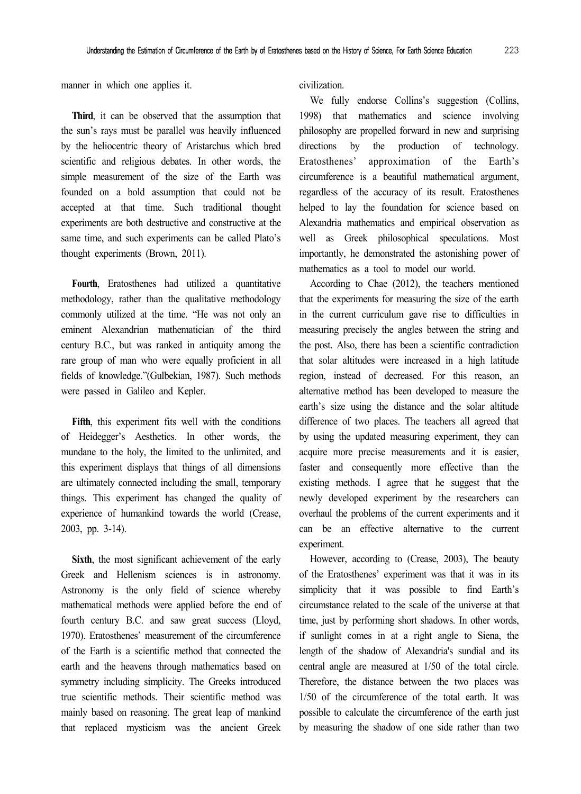manner in which one applies it.

**Third**, it can be observed that the assumption that the sun's rays must be parallel was heavily influenced by the heliocentric theory of Aristarchus which bred scientific and religious debates. In other words, the simple measurement of the size of the Earth was founded on a bold assumption that could not be accepted at that time. Such traditional thought experiments are both destructive and constructive at the same time, and such experiments can be called Plato's thought experiments (Brown, 2011).

Fourth, Eratosthenes had utilized a quantitative methodology, rather than the qualitative methodology commonly utilized at the time. "He was not only an eminent Alexandrian mathematician of the third century B.C., but was ranked in antiquity among the rare group of man who were equally proficient in all fields of knowledge."(Gulbekian, 1987). Such methods were passed in Galileo and Kepler.

**Fifth**, this experiment fits well with the conditions of Heidegger's Aesthetics. In other words, the mundane to the holy, the limited to the unlimited, and this experiment displays that things of all dimensions are ultimately connected including the small, temporary things. This experiment has changed the quality of experience of humankind towards the world (Crease, 2003, pp. 3-14).

**Sixth**, the most significant achievement of the early Greek and Hellenism sciences is in astronomy. Astronomy is the only field of science whereby mathematical methods were applied before the end of fourth century B.C. and saw great success (Lloyd, 1970). Eratosthenes' measurement of the circumference of the Earth is a scientific method that connected the earth and the heavens through mathematics based on symmetry including simplicity. The Greeks introduced true scientific methods. Their scientific method was mainly based on reasoning. The great leap of mankind that replaced mysticism was the ancient Greek

civilization.

We fully endorse Collins's suggestion (Collins, 1998) that mathematics and science involving philosophy are propelled forward in new and surprising directions by the production of technology. Eratosthenes' approximation of the Earth's circumference is a beautiful mathematical argument, regardless of the accuracy of its result. Eratosthenes helped to lay the foundation for science based on Alexandria mathematics and empirical observation as well as Greek philosophical speculations. Most importantly, he demonstrated the astonishing power of mathematics as a tool to model our world.

According to Chae (2012), the teachers mentioned that the experiments for measuring the size of the earth in the current curriculum gave rise to difficulties in measuring precisely the angles between the string and the post. Also, there has been a scientific contradiction that solar altitudes were increased in a high latitude region, instead of decreased. For this reason, an alternative method has been developed to measure the earth's size using the distance and the solar altitude difference of two places. The teachers all agreed that by using the updated measuring experiment, they can acquire more precise measurements and it is easier, faster and consequently more effective than the existing methods. I agree that he suggest that the newly developed experiment by the researchers can overhaul the problems of the current experiments and it can be an effective alternative to the current experiment.

However, according to (Crease, 2003), The beauty of the Eratosthenes' experiment was that it was in its simplicity that it was possible to find Earth's circumstance related to the scale of the universe at that time, just by performing short shadows. In other words, if sunlight comes in at a right angle to Siena, the length of the shadow of Alexandria's sundial and its central angle are measured at 1/50 of the total circle. Therefore, the distance between the two places was 1/50 of the circumference of the total earth. It was possible to calculate the circumference of the earth just by measuring the shadow of one side rather than two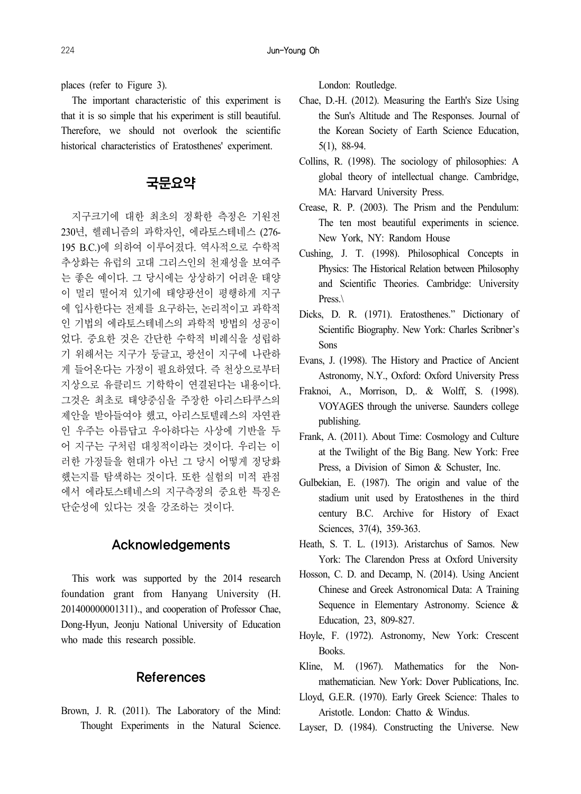places (refer to Figure 3).

The important characteristic of this experiment is that it is so simple that his experiment is still beautiful. Therefore, we should not overlook the scientific historical characteristics of Eratosthenes' experiment.

## 국문요약

지구크기에 대한 최초의 정확한 측정은 기원전 230년, 헬레니즘의 과학자인, 에라토스테네스 (276- 195 B.C.)에 의하여 이루어졌다. 역사적으로 수학적 추상화는 유럽의 고대 그리스인의 천재성을 보여주 는 좋은 예이다. 그 당시에는 상상하기 어려운 태양 이 멀리 떨어져 있기에 태양광선이 평행하게 지구 에 입사한다는 전제를 요구하는, 논리적이고 과학적 인 기법의 에라토스테네스의 과학적 방법의 성공이 었다. 중요한 것은 간단한 수학적 비례식을 성립하 기 위해서는 지구가 둥글고, 광선이 지구에 나란하 게 들어온다는 가정이 필요하였다. 즉 천상으로부터 지상으로 유클리드 기학학이 연결된다는 내용이다. 그것은 최초로 태양중심을 주장한 아리스타쿠스의 제안을 받아들여야 했고, 아리스토텔레스의 자연관 인 우주는 아름답고 우아하다는 사상에 기반을 두 어 지구는 구처럼 대칭적이라는 것이다. 우리는 이 러한 가정들을 현대가 아닌 그 당시 어떻게 정당화 했는지를 탐색하는 것이다. 또한 실험의 미적 관점 에서 에라토스테네스의 지구측정의 중요한 특징은 단순성에 있다는 것을 강조하는 것이다.

### Acknowledgements

This work was supported by the 2014 research foundation grant from Hanyang University (H. 201400000001311)., and cooperation of Professor Chae, Dong-Hyun, Jeonju National University of Education who made this research possible.

### References

Brown, J. R. (2011). The Laboratory of the Mind: Thought Experiments in the Natural Science.

London: Routledge.

- Chae, D.-H. (2012). Measuring the Earth's Size Using the Sun's Altitude and The Responses. Journal of the Korean Society of Earth Science Education, 5(1), 88-94.
- Collins, R. (1998). The sociology of philosophies: A global theory of intellectual change. Cambridge, MA: Harvard University Press.
- Crease, R. P. (2003). The Prism and the Pendulum: The ten most beautiful experiments in science. New York, NY: Random House
- Cushing, J. T. (1998). Philosophical Concepts in Physics: The Historical Relation between Philosophy and Scientific Theories. Cambridge: University Press.
- Dicks, D. R. (1971). Eratosthenes." Dictionary of Scientific Biography. New York: Charles Scribner's Sons
- Evans, J. (1998). The History and Practice of Ancient Astronomy, N.Y., Oxford: Oxford University Press
- Fraknoi, A., Morrison, D,. & Wolff, S. (1998). VOYAGES through the universe. Saunders college publishing.
- Frank, A. (2011). About Time: Cosmology and Culture at the Twilight of the Big Bang. New York: Free Press, a Division of Simon & Schuster, Inc.
- Gulbekian, E. (1987). The origin and value of the stadium unit used by Eratosthenes in the third century B.C. Archive for History of Exact Sciences, 37(4), 359-363.
- Heath, S. T. L. (1913). Aristarchus of Samos. New York: The Clarendon Press at Oxford University
- Hosson, C. D. and Decamp, N. (2014). Using Ancient Chinese and Greek Astronomical Data: A Training Sequence in Elementary Astronomy. Science & Education, 23, 809-827.
- Hoyle, F. (1972). Astronomy, New York: Crescent Books.
- Kline, M. (1967). Mathematics for the Nonmathematician. New York: Dover Publications, Inc.
- Lloyd, G.E.R. (1970). Early Greek Science: Thales to Aristotle. London: Chatto & Windus.
- Layser, D. (1984). Constructing the Universe. New